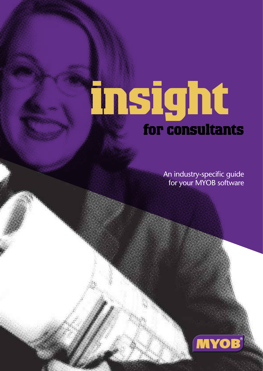# **insight for consultants**

An industry-specific guide for your MYOB software

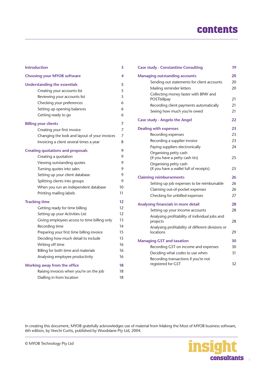# **contents**

| <b>Introduction</b>                           | 3              |
|-----------------------------------------------|----------------|
| <b>Choosing your MYOB software</b>            | 4              |
| <b>Understanding the essentials</b>           | 5              |
| Creating your accounts list                   | 5              |
| Reviewing your accounts list                  | 5              |
| Checking your preferences                     | 6              |
| Setting up opening balances                   | 6              |
| Getting ready to go                           | 6              |
| <b>Billing your clients</b>                   | 7              |
| Creating your first invoice                   | $\overline{7}$ |
| Changing the look and layout of your invoices | 7              |
| Invoicing a client several times a year       | 8              |
| <b>Creating quotations and proposals</b>      | 9              |
| Creating a quotation                          | 9              |
| Viewing outstanding quotes                    | 9              |
| Turning quotes into sales                     | 9              |
| Setting up your client database               | 9              |
| Splitting clients into groups                 | 9              |
| When you run an independent database          | 10             |
| Printing mailing labels                       | 11             |
| <b>Tracking time</b>                          | 12             |
| Getting ready for time billing                | 12             |
| Setting up your Activities List               | 12             |
| Giving employees access to time billing only  | 13             |
| Recording time                                | 14             |
| Preparing your first time billing invoice     | 15             |
| Deciding how much detail to include           | 15             |
| Writing off time                              | 16             |
| Billing for both time and materials           | 16             |
| Analysing employee productivity               | 16             |
| <b>Working away from the office</b>           | 18             |
| Raising invoices when you're on the job       | 18             |
| Dialling in from location                     | 18             |

| <b>Case study - Constantine Consulting</b>                       | 19 |
|------------------------------------------------------------------|----|
| <b>Managing outstanding accounts</b>                             | 20 |
| Sending out statements for client accounts                       | 20 |
| Mailing reminder letters                                         | 20 |
| Collecting money faster with BPAY and<br>POSTbillpay             | 21 |
| Recording client payments automatically                          | 21 |
| Seeing how much you're owed                                      | 21 |
| <b>Case study - Angelo the Angel</b>                             | 22 |
| <b>Dealing with expenses</b>                                     | 23 |
| Recording expenses                                               | 23 |
| Recording a supplier invoice                                     | 23 |
| Paying suppliers electronically                                  | 24 |
| Organising petty cash<br>(if you have a petty cash tin)          | 25 |
| Organising petty cash<br>(if you have a wallet full of receipts) | 25 |
| <b>Claiming reimbursements</b>                                   | 26 |
| Setting up job expenses to be reimbursable                       | 26 |
| Claiming out-of-pocket expenses                                  | 26 |
| Checking for unbilled expenses                                   | 27 |
| Analysing financials in more detail                              | 28 |
| Setting up your income accounts                                  | 28 |
| Analysing profitability of individual jobs and<br>projects       | 28 |
| Analysing profitability of different divisions or<br>locations   | 29 |
| <b>Managing GST and taxation</b>                                 | 30 |
| Recording GST on income and expenses                             | 30 |
| Deciding what codes to use when                                  | 31 |
| Recording transactions if you're not<br>registered for GST       | 32 |

In creating this document, MYOB gratefully acknowledges use of material from Making the Most of MYOB business software, 6th edition, by Veechi Curtis, published by Woodslane Pty Ltd, 2004.

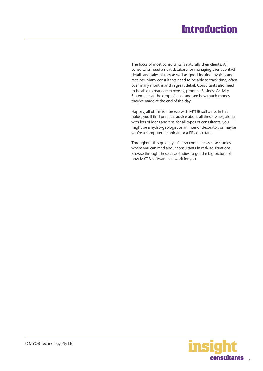# **Introduction**

<span id="page-2-0"></span>The focus of most consultants is naturally their clients. All consultants need a neat database for managing client contact details and sales history as well as good-looking invoices and receipts. Many consultants need to be able to track time, often over many months and in great detail. Consultants also need to be able to manage expenses, produce Business Activity Statements at the drop of a hat and see how much money they've made at the end of the day.

Happily, all of this is a breeze with MYOB software. In this guide, you'll find practical advice about all these issues, along with lots of ideas and tips, for all types of consultants; you might be a hydro-geologist or an interior decorator, or maybe you're a computer technician or a PR consultant.

Throughout this guide, you'll also come across case studies where you can read about consultants in real-life situations. Browse through these case studies to get the big picture of how MYOB software can work for you.

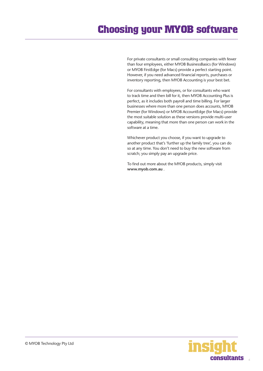# <span id="page-3-0"></span>**Choosing your MYOB software**

For private consultants or small consulting companies with fewer than four employees, either MYOB BusinessBasics (for Windows) or MYOB FirstEdge (for Macs) provide a perfect starting point. However, if you need advanced financial reports, purchases or inventory reporting, then MYOB Accounting is your best bet.

For consultants with employees, or for consultants who want to track time and then bill for it, then MYOB Accounting Plus is perfect, as it includes both payroll and time billing. For larger businesses where more than one person does accounts, MYOB Premier (for Windows) or MYOB AccountEdge (for Macs) provide the most suitable solution as these versions provide multi-user capability, meaning that more than one person can work in the software at a time.

Whichever product you choose, if you want to upgrade to another product that's 'further up the family tree', you can do so at any time. You don't need to buy the new software from scratch; you simply pay an upgrade price.

To find out more about the MYOB products, simply visit **www.myob.com.au** .



4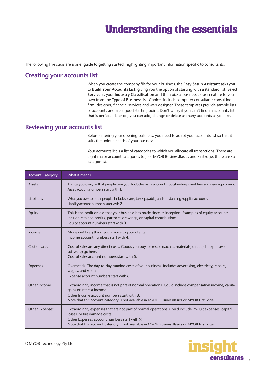The following five steps are a brief guide to getting started, highlighting important information specific to consultants.

#### **Creating your accounts list**

When you create the company file for your business, the **Easy Setup Assistant** asks you to **Build Your Accounts List**, giving you the option of starting with a standard list. Select **Service** as your **Industry Classification** and then pick a business close in nature to your own from the **Type of Business** list. Choices include computer consultant; consulting firm; designer; financial services and web designer. These templates provide sample lists of accounts and are a good starting point. Don't worry if you can't find an accounts list that is perfect – later on, you can add, change or delete as many accounts as you like.

#### **Reviewing your accounts list**

Before entering your opening balances, you need to adapt your accounts list so that it suits the unique needs of your business.

Your accounts list is a list of categories to which you allocate all transactions. There are eight major account categories (or, for MYOB BusinessBasics and FirstEdge, there are six categories).

| <b>Account Category</b> | What it means                                                                                                                                                                                                                                                                         |
|-------------------------|---------------------------------------------------------------------------------------------------------------------------------------------------------------------------------------------------------------------------------------------------------------------------------------|
| Assets                  | Things you own, or that people owe you. Includes bank accounts, outstanding client fees and new equipment.<br>Asset account numbers start with 1.                                                                                                                                     |
| Liabilities             | What you owe to other people. Includes loans, taxes payable, and outstanding supplier accounts.<br>Liability account numbers start with 2.                                                                                                                                            |
| Equity                  | This is the profit or loss that your business has made since its inception. Examples of equity accounts<br>include retained profits, partners' drawings, or capital contributions.<br>Equity account numbers start with 3.                                                            |
| Income                  | Money in! Everything you invoice to your clients.<br>Income account numbers start with 4.                                                                                                                                                                                             |
| Cost of sales           | Cost of sales are any direct costs. Goods you buy for resale (such as materials, direct job expenses or<br>software) go here.<br>Cost of sales account numbers start with 5.                                                                                                          |
| <b>Expenses</b>         | Overheads. The day-to-day running costs of your business. Includes advertising, electricity, repairs,<br>wages, and so on.<br>Expense account numbers start with 6.                                                                                                                   |
| Other Income            | Extraordinary income that is not part of normal operations. Could include compensation income, capital<br>gains or interest income.<br>Other Income account numbers start with 8.<br>Note that this account category is not available in MYOB BusinessBasics or MYOB FirstEdge.       |
| <b>Other Expenses</b>   | Extraordinary expenses that are not part of normal operations. Could include lawsuit expenses, capital<br>losses, or fire damage costs.<br>Other Expenses account numbers start with 9.<br>Note that this account category is not available in MYOB BusinessBasics or MYOB FirstEdge. |

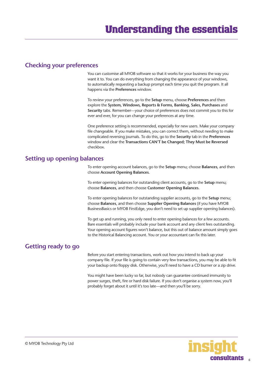#### <span id="page-5-0"></span>**Checking your preferences**

You can customise all MYOB software so that it works for your business the way you want it to. You can do everything from changing the appearance of your windows, to automatically requesting a backup prompt each time you quit the program. It all happens via the **Preferences** window.

To review your preferences, go to the **Setup** menu, choose **Preferences** and then explore the **System, Windows, Reports & Forms, Banking, Sales, Purchases** and **Security** tabs. Remember—your choice of preferences does not commit you to this for ever and ever, for you can change your preferences at any time.

One preference setting is recommended, especially for new users. Make your company file changeable. If you make mistakes, you can correct them, without needing to make complicated reversing journals. To do this, go to the **Security** tab in the **Preferences**  window and clear the **Transactions CAN'T be Changed; They Must be Reversed** checkbox.

#### **Setting up opening balances**

To enter opening account balances, go to the **Setup** menu; choose **Balances**, and then choose **Account Opening Balances**.

To enter opening balances for outstanding client accounts, go to the **Setup** menu; choose **Balances**, and then choose **Customer Opening Balances**.

To enter opening balances for outstanding supplier accounts, go to the **Setup** menu; choose **Balances**, and then choose **Supplier Opening Balances** (if you have MYOB BusinessBasics or MYOB FirstEdge, you don't need to set up supplier opening balances).

To get up and running, you only need to enter opening balances for a few accounts. Bare essentials will probably include your bank account and any client fees outstanding. Your opening account figures won't balance, but this out of balance amount simply goes to the Historical Balancing account. You or your accountant can fix this later.

# **Getting ready to go**

Before you start entering transactions, work out how you intend to back up your company file. If your file is going to contain very few transactions, you may be able to fit your backup onto floppy disk. Otherwise, you'll need to have a CD burner or a zip drive.

You might have been lucky so far, but nobody can guarantee continued immunity to power surges, theft, fire or hard disk failure. If you don't organise a system now, you'll probably forget about it until it's too late—and then you'll be sorry.

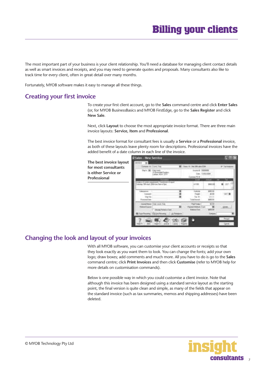# **Billing your clients**

<span id="page-6-0"></span>The most important part of your business is your client relationship. You'll need a database for managing client contact details as well as smart invoices and receipts, and you may need to generate quotes and proposals. Many consultants also like to track time for every client, often in great detail over many months.

Fortunately, MYOB software makes it easy to manage all these things.

### **Creating your first invoice**

To create your first client account, go to the **Sales** command centre and click **Enter Sales** (or, for MYOB BusinessBasics and MYOB FirstEdge, go to the **Sales Register** and click **New Sale**.

Next, click **Layout** to choose the most appropriate invoice format. There are three main invoice layouts: **Service, Item** and **Professional**.

The best invoice format for consultant fees is usually a **Service** or a **Professional** invoice, as both of these layouts leave plenty room for descriptions. Professional invoices have the added benefit of a date column in each line of the invoice.

**The best invoice layout for most consultants is either Service or Professional**



#### **Changing the look and layout of your invoices**

With all MYOB software, you can customise your client accounts or receipts so that they look exactly as you want them to look. You can change the fonts; add your own logo; draw boxes; add comments and much more. All you have to do is go to the **Sales** command centre; click **Print Invoices** and then click **Customise** (refer to MYOB help for more details on customisation commands).

Below is one possible way in which you could customise a client invoice. Note that although this invoice has been designed using a standard service layout as the starting point, the final version is quite clean and simple, as many of the fields that appear on the standard invoice (such as tax summaries, memos and shipping addresses) have been deleted.



7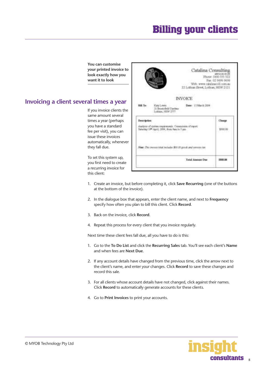# **Billing your clients**

**You can customise your printed invoice to look exactly how you want it to look**

### <span id="page-7-0"></span>**Invoicing a client several times a year**

If you invoice clients the same amount several times a year (perhaps you have a standard fee per visit), you can issue these invoices automatically, whenever they fall due.

To set this system up, you first need to create a recurring invoice for this client:



- 1. Create an invoice, but before completing it, click **Save Recurring** (one of the buttons at the bottom of the invoice).
- 2. In the dialogue box that appears, enter the client name, and next to **Frequency** specify how often you plan to bill this client. Click **Record**.
- 3. Back on the invoice, click **Record**.
- 4. Repeat this process for every client that you invoice regularly.

Next time these client fees fall due, all you have to do is this:

- 1. Go to the **To Do List** and click the **Recurring Sales** tab. You'll see each client's **Name** and when fees are **Next Due**.
- 2. If any account details have changed from the previous time, click the arrow next to the client's name, and enter your changes. Click **Record** to save these changes and record this sale.
- 3. For all clients whose account details have not changed, click against their names. Click **Record** to automatically generate accounts for these clients.
- 4. Go to **Print Invoices** to print your accounts.



8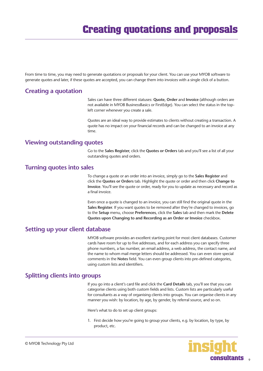# **Creating quotations and proposals**

<span id="page-8-0"></span>From time to time, you may need to generate quotations or proposals for your client. You can use your MYOB software to generate quotes and later, if these quotes are accepted, you can change them into invoices with a single click of a button.

#### **Creating a quotation**

Sales can have three different statuses: **Quote, Order** and **Invoice** (although orders are not available in MYOB BusinessBasics or FirstEdge). You can select the status in the topleft corner whenever you create a sale.

Quotes are an ideal way to provide estimates to clients without creating a transaction. A quote has no impact on your financial records and can be changed to an invoice at any time.

#### **Viewing outstanding quotes**

Go to the **Sales Register**, click the **Quotes or Orders** tab and you'll see a list of all your outstanding quotes and orders.

#### **Turning quotes into sales**

To change a quote or an order into an invoice, simply go to the **Sales Register** and click the **Quotes or Orders** tab. Highlight the quote or order and then click **Change to Invoice**. You'll see the quote or order, ready for you to update as necessary and record as a final invoice.

Even once a quote is changed to an invoice, you can still find the original quote in the **Sales Register**. If you want quotes to be removed after they're changed to invoices, go to the **Setup** menu, choose **Preferences**, click the **Sales** tab and then mark the **Delete Quotes upon Changing to and Recording as an Order or Invoice** checkbox.

#### **Setting up your client database**

MYOB software provides an excellent starting point for most client databases. Customer cards have room for up to five addresses, and for each address you can specify three phone numbers, a fax number, an email address, a web address, the contact name, and the name to whom mail merge letters should be addressed. You can even store special comments in the **Notes** field. You can even group clients into pre-defined categories, using custom lists and identifiers.

#### **Splitting clients into groups**

If you go into a client's card file and click the **Card Details** tab, you'll see that you can categorise clients using both custom fields and lists. Custom lists are particularly useful for consultants as a way of organising clients into groups. You can organise clients in any manner you wish: by location, by age, by gender, by referral source, and so on.

Here's what to do to set up client groups:

1. First decide how you're going to group your clients, e.g. by location, by type, by product, etc.

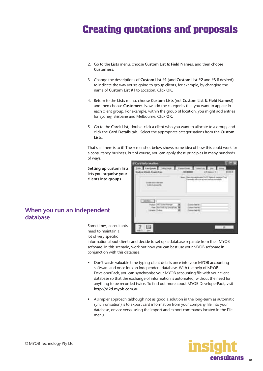- <span id="page-9-0"></span>2. Go to the **Lists** menu, choose **Custom List & Field Names**, and then choose **Customers**.
- 3. Change the descriptions of **Custom List #1** (and **Custom List #2** and **#3** if desired) to indicate the way you're going to group clients, for example, by changing the name of **Custom List #1** to Location. Click **OK**.
- 4. Return to the **Lists** menu, choose **Custom Lists** (not **Custom List & Field Names**!) and then choose **Customers**. Now add the categories that you want to appear in each client group. For example, within the group of location, you might add entries for Sydney, Brisbane and Melbourne. Click **OK**.
- 5. Go to the **Cards List**, double-click a client who you want to allocate to a group, and click the **Card Details** tab. Select the appropriate categorisations from the **Custom Lists**.

That's all there is to it! The screenshot below shows some idea of how this could work for a consultancy business, but of course, you can apply these principles in many hundreds of ways.

**Setting up custom lists lets you organise your clients into groups**

| <b>CARL ALCOHOL: N</b><br>the contract of the contract of | ٠ | was not a series and the content |  |
|-----------------------------------------------------------|---|----------------------------------|--|
|                                                           |   |                                  |  |
|                                                           | m |                                  |  |

**When you run an independent database** 

> Sometimes, consultants need to maintain a lot of very specific

information about clients and decide to set up a database separate from their MYOB software. In this scenario, work out how you can best use your MYOB software in conjunction with this database.

- Don't waste valuable time typing client details once into your MYOB accounting software and once into an independent database. With the help of MYOB DeveloperPack, you can synchronise your MYOB accounting file with your client database so that the exchange of information is automated, without the need for anything to be recorded twice. To find out more about MYOB DeveloperPack, visit **http://d2d.myob.com.au** .
- A simpler approach (although not as good a solution in the long-term as automatic synchronisation) is to export card information from your company file into your database, or vice versa, using the import and export commands located in the File menu.



#### © MYOB Technology Pty Ltd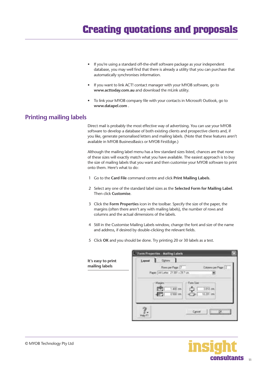- <span id="page-10-0"></span>• If you're using a standard off-the-shelf software package as your independent database, you may well find that there is already a utility that you can purchase that automatically synchronises information.
- If you want to link ACT! contact manager with your MYOB software, go to **www.acttoday.com.au** and download the mLink utility.
- To link your MYOB company file with your contacts in Microsoft Outlook, go to **www.datapel.com** .

# **Printing mailing labels**

Direct mail is probably the most effective way of advertising. You can use your MYOB software to develop a database of both existing clients and prospective clients and, if you like, generate personalised letters and mailing labels. (Note that these features aren't available in MYOB BusinessBasics or MYOB FirstEdge.)

Although the mailing label menu has a few standard sizes listed, chances are that none of these sizes will exactly match what you have available. The easiest approach is to buy the size of mailing labels that you want and then customise your MYOB software to print onto them. Here's what to do:

- 1 Go to the **Card File** command centre and click **Print Mailing Labels**.
- 2 Select any one of the standard label sizes as the **Selected Form for Mailing Label**. Then click **Customise**.
- 3 Click the **Form Properties** icon in the toolbar. Specify the size of the paper, the margins (often there aren't any with mailing labels), the number of rows and columns and the actual dimensions of the labels.
- 4 Still in the Customise Mailing Labels window, change the font and size of the name and address, if desired by double-clicking the relevant fields.
- 5 Click **OK** and you should be done. Try printing 20 or 30 labels as a test.

| It's easy to print | <i><b>Пулотс</b></i><br>Laureat    |                    |
|--------------------|------------------------------------|--------------------|
| mailing labels     | Rows per Page 17                   | Column per Page 12 |
|                    | Paper   A4 Lete: 21.001 + 23.7 cm. |                    |
|                    | $-4181.08$                         |                    |
|                    | $8500$ cm.                         | 30.201             |
|                    |                                    |                    |
|                    |                                    | tк                 |

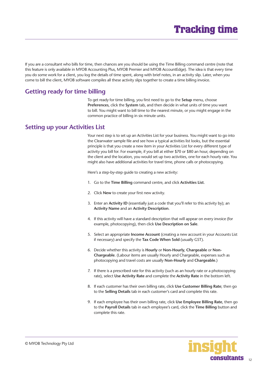<span id="page-11-0"></span>If you are a consultant who bills for time, then chances are you should be using the Time Billing command centre (note that this feature is only available in MYOB Accounting Plus, MYOB Premier and MYOB AccountEdge). The idea is that every time you do some work for a client, you log the details of time spent, along with brief notes, in an activity slip. Later, when you come to bill the client, MYOB software compiles all these activity slips together to create a time billing invoice.

## **Getting ready for time billing**

To get ready for time billing, you first need to go to the **Setup** menu, choose **Preferences**, click the **System** tab, and then decide in what units of time you want to bill. You might want to bill time to the nearest minute, or you might engage in the common practice of billing in six minute units.

#### **Setting up your Activities List**

Your next step is to set up an Activities List for your business. You might want to go into the Clearwater sample file and see how a typical activities list looks, but the essential principle is that you create a new item in your Activities List for every different type of activity you bill for. For example, if you bill at either \$70 or \$80 an hour, depending on the client and the location, you would set up two activities, one for each hourly rate. You might also have additional activities for travel time, phone calls or photocopying.

Here's a step-by-step guide to creating a new activity:

- 1. Go to the **Time Billing** command centre, and click **Activities List**.
- 2. Click **New** to create your first new activity.
- 3. Enter an **Activity ID** (essentially just a code that you'll refer to this activity by); an **Activity Name** and an **Activity Description**.
- 4. If this activity will have a standard description that will appear on every invoice (for example, photocopying), then click **Use Description on Sale**.
- 5. Select an appropriate **Income Account** (creating a new account in your Accounts List if necessary) and specify the **Tax Code When Sold** (usually GST).
- 6. Decide whether this activity is **Hourly** or **Non-Hourly**, **Chargeable** or **Non-Chargeable**. (Labour items are usually Hourly and Chargeable, expenses such as photocopying and travel costs are usually **Non-Hourly** and **Chargeable**.)
- 7. If there is a prescribed rate for this activity (such as an hourly rate or a photocopying rate), select **Use Activity Rate** and complete the **Activity Rate** in the bottom left.
- 8. If each customer has their own billing rate, click **Use Customer Billing Rate**; then go to the **Selling Details** tab in each customer's card and complete this rate.
- 9. If each employee has their own billing rate, click **Use Employee Billing Rate**, then go to the **Payroll Details** tab in each employee's card, click the **Time Billing** button and complete this rate.

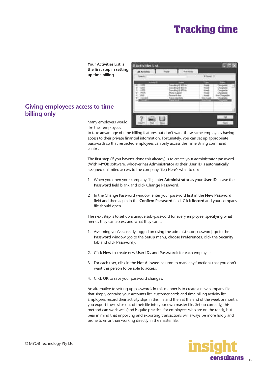# **Tracking time**

**Your Activities List is the first step in setting up time billing**

#### <span id="page-12-0"></span>**Giving employees access to time billing only**



Many employers would like their employees

to take advantage of time billing features but don't want these same employees having access to their private financial information. Fortunately, you can set up appropriate passwords so that restricted employees can only access the Time Billing command centre.

The first step (if you haven't done this already) is to create your administrator password. (With MYOB software, whoever has **Administrator** as their **User ID** is automatically assigned unlimited access to the company file.) Here's what to do:

- 1 When you open your company file, enter **Administrator** as your **User ID**. Leave the **Password** field blank and click **Change Password**.
- 2 In the Change Password window, enter your password first in the **New Password**  field and then again in the **Confirm Password** field. Click **Record** and your company file should open.

The next step is to set up a unique sub-password for every employee, specifying what menus they can access and what they can't.

- 1. Assuming you've already logged on using the administrator password, go to the **Password** window (go to the **Setup** menu, choose **Preferences**, click the **Security** tab and click **Password**).
- 2. Click **New** to create new **User IDs** and **Passwords** for each employee.
- 3. For each user, click in the **Not Allowed** column to mark any functions that you don't want this person to be able to access.
- 4. Click **OK** to save your password changes.

An alternative to setting up passwords in this manner is to create a new company file that simply contains your accounts list, customer cards and time billing activity list. Employees record their activity slips in this file and then at the end of the week or month, you export these slips out of their file into your own master file. Set up correctly, this method can work well (and is quite practical for employees who are on the road), but bear in mind that importing and exporting transactions will always be more fiddly and prone to error than working directly in the master file.

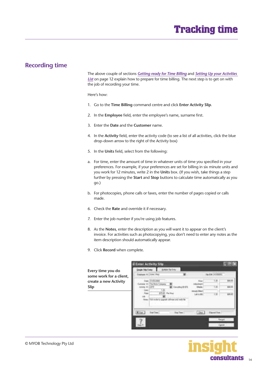# **Tracking time**

## <span id="page-13-0"></span>**Recording time**

The above couple of sections *[Getting ready for Time Billing](#page-11-0)* and *Setting Up your Activities [List](#page-11-0)* on page 12 explain how to prepare for time billing. The next step is to get on with the job of recording your time.

Here's how:

- 1. Go to the **Time Billing** command centre and click **Enter Activity Slip**.
- 2. In the **Employee** field, enter the employee's name, surname first.
- 3. Enter the **Date** and the **Customer** name.
- 4. In the **Activity** field, enter the activity code (to see a list of all activities, click the blue drop-down arrow to the right of the Activity box)
- 5. In the **Units** field, select from the following:
- a. For time, enter the amount of time in whatever units of time you specified in your preferences. For example, if your preferences are set for billing in six minute units and you work for 12 minutes, write 2 in the **Units** box. (If you wish, take things a step further by pressing the **Start** and **Stop** buttons to calculate time automatically as you go.)
- b. For photocopies, phone calls or faxes, enter the number of pages copied or calls made.
- 6. Check the **Rate** and override it if necessary.
- 7. Enter the job number if you're using job features.
- 8. As the **Notes**, enter the description as you will want it to appear on the client's invoice. For activities such as photocopying, you don't need to enter any notes as the item description should automatically appear.
- 9. Click **Record** when complete.



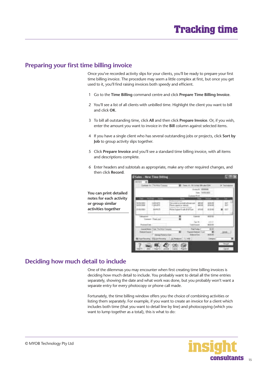## <span id="page-14-0"></span>**Preparing your first time billing invoice**

Once you've recorded activity slips for your clients, you'll be ready to prepare your first time billing invoice. The procedure may seem a little complex at first, but once you get used to it, you'll find raising invoices both speedy and efficient.

- 1 Go to the **Time Billing** command centre and click **Prepare Time Billing Invoice**.
- 2 You'll see a list of all clients with unbilled time. Highlight the client you want to bill and click **OK**.
- 3 To bill all outstanding time, click **All** and then click **Prepare Invoice**. Or, if you wish, enter the amount you want to invoice in the **Bill** column against selected items.
- 4 If you have a single client who has several outstanding jobs or projects, click **Sort by Job** to group activity slips together.
- 5 Click **Prepare Invoice** and you'll see a standard time billing invoice, with all items and descriptions complete.
- 6 Enter headers and subtotals as appropriate, make any other required changes, and then click **Record**.

**You can print detailed notes for each activity or group similar activities together**



# **Deciding how much detail to include**

One of the dilemmas you may encounter when first creating time billing invoices is deciding how much detail to include. You probably want to detail all the time entries separately, showing the date and what work was done, but you probably won't want a separate entry for every photocopy or phone call made.

Fortunately, the time billing window offers you the choice of combining activities or listing them separately. For example, if you want to create an invoice for a client which includes both time (that you want to detail line by line) and photocopying (which you want to lump together as a total), this is what to do:

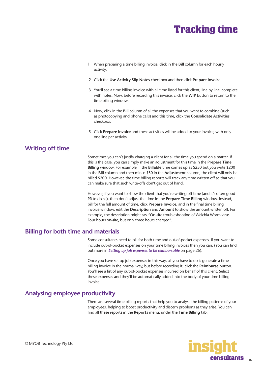- <span id="page-15-0"></span>1 When preparing a time billing invoice, click in the **Bill** column for each hourly activity.
- 2 Click the **Use Activity Slip Notes** checkbox and then click **Prepare Invoice**.
- 3 You'll see a time billing invoice with all time listed for this client, line by line, complete with notes. Now, before recording this invoice, click the **WIP** button to return to the time billing window.
- 4 Now, click in the **Bill** column of all the expenses that you want to combine (such as photocopying and phone calls) and this time, click the **Consolidate Activities** checkbox.
- 5 Click **Prepare Invoice** and these activities will be added to your invoice, with only one line per activity.

### **Writing off time**

Sometimes you can't justify charging a client for all the time you spend on a matter. If this is the case, you can simply make an adjustment for this time in the **Prepare Time Billing** window. For example, if the **Billable** time comes up as \$250 but you write \$200 in the **Bill** column and then minus \$50 in the **Adjustment** column, the client will only be billed \$200. However, the time billing reports will track any time written off so that you can make sure that such write-offs don't get out of hand.

However, if you want to show the client that you're writing off time (and it's often good PR to do so), then don't adjust the time in the **Prepare Time Billing** window. Instead, bill for the full amount of time, click **Prepare Invoice**, and in the final time billing invoice window, edit the **Description** and **Amount** to show the amount written off. For example, the description might say "On-site troubleshooting of Welchia Worm virus. Four hours on-site, but only three hours charged".

### **Billing for both time and materials**

Some consultants need to bill for both time and out-of-pocket expenses. If you want to include out-of-pocket expenses on your time billing invoices then you can. (You can find out more in *[Setting up job expenses to be reimbursable](#page-25-0)* on page 26).

Once you have set up job expenses in this way, all you have to do is generate a time billing invoice in the normal way, but before recording it, click the **Reimburse** button. You'll see a list of any out-of-pocket expenses incurred on behalf of this client. Select these expenses and they'll be automatically added into the body of your time billing invoice.

# **Analysing employee productivity**

There are several time billing reports that help you to analyse the billing patterns of your employees, helping to boost productivity and discern problems as they arise. You can find all these reports in the **Reports** menu, under the **Time Billing** tab.

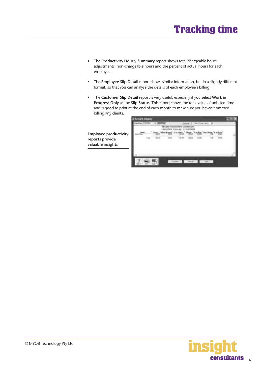- The **Productivity Hourly Summary** report shows total chargeable hours, adjustments, non-chargeable hours and the percent of actual hours for each employee.
- The **Employee Slip Detail** report shows similar information, but in a slightly different format, so that you can analyse the details of each employee's billing.
- The **Customer Slip Detail** report is very useful, especially if you select **Work in Progress Only** as the **Slip Status**. This report shows the total value of unbilled time and is good to print at the end of each month to make sure you haven't omitted billing any clients. **COLLEGE**

| <b>Employee productivity</b>         |  |  |  |  |  |
|--------------------------------------|--|--|--|--|--|
| reports provide<br>valuable insights |  |  |  |  |  |
|                                      |  |  |  |  |  |

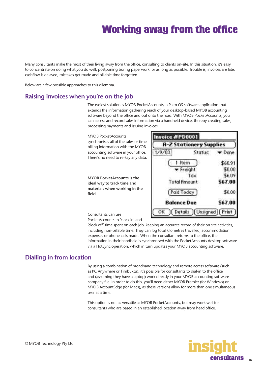<span id="page-17-0"></span>Many consultants make the most of their living away from the office, consulting to clients on-site. In this situation, it's easy to concentrate on doing what you do well, postponing boring paperwork for as long as possible. Trouble is, invoices are late, cashflow is delayed, mistakes get made and billable time forgotten.

Below are a few possible approaches to this dilemma.

#### **Raising invoices when you're on the job**

The easiest solution is MYOB PocketAccounts, a Palm OS software application that extends the information gathering reach of your desktop-based MYOB accounting software beyond the office and out onto the road. With MYOB PocketAccounts, you can access and record sales information via a handheld device, thereby creating sales, processing payments and issuing invoices.

#### MYOB PocketAccounts synchronises all of the sales or time billing information with the MYOB accounting software in your office. There's no need to re-key any data

**MYOB PocketAccounts is the ideal way to track time and materials when working in the field**

|                     | <b>A-Z Stationery Supplies</b> |         |
|---------------------|--------------------------------|---------|
|                     | Status:                        | Done    |
|                     | Item                           | \$60.91 |
|                     | Freight                        | \$0.00  |
|                     | Tax                            | \$6.09  |
| <b>Total Amount</b> |                                | \$67.00 |
| [Paid Today]        |                                | \$0.00  |
| <b>Balance Due</b>  |                                | \$67.00 |

Consultants can use

PocketAccounts to 'clock in' and

'clock off' time spent on each job, keeping an accurate record of their on site activities, including non-billable time. They can log total kilometres travelled, accommodation expenses or phone calls made. When the consultant returns to the office, the information in their handheld is synchronised with the PocketAccounts desktop software via a HotSync operation, which in turn updates your MYOB accounting software.

#### **Dialling in from location**

By using a combination of broadband technology and remote access software (such as PC Anywhere or Timbuktu), it's possible for consultants to dial-in to the office and (assuming they have a laptop) work directly in your MYOB accounting software company file. In order to do this, you'll need either MYOB Premier (for Windows) or MYOB AccountEdge (for Macs), as these versions allow for more than one simultaneous user at a time.

This option is not as versatile as MYOB PocketAccounts, but may work well for consultants who are based in an established location away from head office.

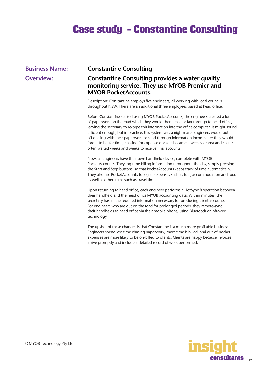# **Case study - Constantine Consulting**

## <span id="page-18-0"></span>**Business Name: Constantine Consulting**

#### **Overview: Constantine Consulting provides a water quality monitoring service. They use MYOB Premier and MYOB PocketAccounts.**

Description: Constantine employs five engineers, all working with local councils throughout NSW. There are an additional three employees based at head office.

Before Constantine started using MYOB PocketAccounts, the engineers created a lot of paperwork on the road which they would then email or fax through to head office, leaving the secretary to re-type this information into the office computer. It might sound efficient enough, but in practice, this system was a nightmare. Engineers would put off dealing with their paperwork or send through information incomplete; they would forget to bill for time; chasing for expense dockets became a weekly drama and clients often waited weeks and weeks to receive final accounts.

Now, all engineers have their own handheld device, complete with MYOB PocketAccounts. They log time billing information throughout the day, simply pressing the Start and Stop buttons, so that PocketAccounts keeps track of time automatically. They also use PocketAccounts to log all expenses such as fuel, accommodation and food as well as other items such as travel time.

Upon returning to head office, each engineer performs a HotSync® operation between their handheld and the head office MYOB accounting data. Within minutes, the secretary has all the required information necessary for producing client accounts. For engineers who are out on the road for prolonged periods, they remote-sync their handhelds to head office via their mobile phone, using Bluetooth or infra-red technology.

The upshot of these changes is that Constantine is a much more profitable business. Engineers spend less time chasing paperwork, more time is billed, and out-of-pocket expenses are more likely to be on-billed to clients. Clients are happy because invoices arrive promptly and include a detailed record of work performed.

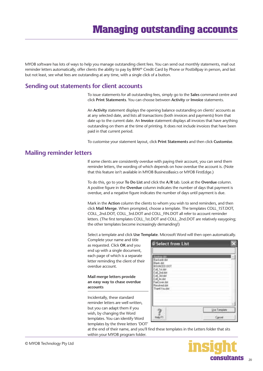<span id="page-19-0"></span>MYOB software has lots of ways to help you manage outstanding client fees. You can send out monthly statements, mail out reminder letters automatically, offer clients the ability to pay by BPAY® Credit Card by Phone or Postbillpay in person, and last but not least, see what fees are outstanding at any time, with a single click of a button.

#### **Sending out statements for client accounts**

To issue statements for all outstanding fees, simply go to the **Sales** command centre and click **Print Statements**. You can choose between **Activity** or **Invoice** statements.

An **Activity** statement displays the opening balance outstanding on clients' accounts as at any selected date, and lists all transactions (both invoices and payments) from that date up to the current date. An **Invoice** statement displays all invoices that have anything outstanding on them at the time of printing. It does not include invoices that have been paid in that current period.

To customise your statement layout, click **Print Statements** and then click **Customise**.

#### **Mailing reminder letters**

If some clients are consistently overdue with paying their account, you can send them reminder letters, the wording of which depends on how overdue the account is. (Note that this feature isn't available in MYOB BusinessBasics or MYOB FirstEdge.)

To do this, go to your **To Do List** and click the **A/R** tab. Look at the **Overdue** column. A positive figure in the **Overdue** column indicates the number of days that payment is overdue, and a negative figure indicates the number of days until payment is due.

Mark in the **Action** column the clients to whom you wish to send reminders, and then click **Mail Merge**. When prompted, choose a template. The templates COLL\_1ST.DOT, COLL\_2nd.DOT, COLL\_3rd.DOT and COLL\_FIN.DOT all refer to account reminder letters. (The first templates COLL 1st.DOT and COLL 2nd.DOT are relatively easygoing; the other templates become increasingly demanding!)

Select a template and click **Use Template**. Microsoft Word will then open automatically.

Complete your name and title as requested. Click **OK** and you end up with a single document, each page of which is a separate letter reminding the client of their overdue account.

#### **Mail merge letters provide an easy way to chase overdue accounts**

Incidentally, these standard reminder letters are well written, but you can adapt them if you wish, by changing the Word templates. You can identify Word templates by the three letters 'DOT'



at the end of their name, and you'll find these templates in the Letters folder that sits within your MYOB program folder.

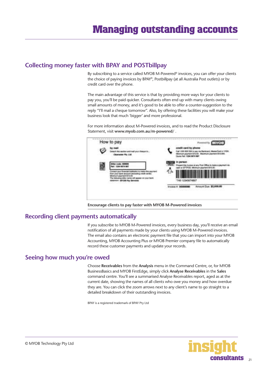#### <span id="page-20-0"></span>**Collecting money faster with BPAY and POSTbillpay**

By subscribing to a service called MYOB M-Powered® invoices, you can offer your clients the choice of paying invoices by BPAY®, Postbillpay (at all Australia Post outlets) or by credit card over the phone.

The main advantage of this service is that by providing more ways for your clients to pay you, you'll be paid quicker. Consultants often end up with many clients owing small amounts of money, and it's good to be able to offer a counter-suggestion to the reply "I'll mail a cheque tomorrow". Also, by offering these facilities you will make your business look that much 'bigger' and more professional.

For more information about M-Powered invoices, and to read the Product Disclosure Statement, visit **www.myob.com.au/m-powered/** .



**Encourage clients to pay faster with MYOB M-Powered invoices**

# **Recording client payments automatically**

If you subscribe to MYOB M-Powered invoices, every business day, you'll receive an email notification of all payments made by your clients using MYOB M-Powered invoices. The email also contains an electronic payment file that you can import into your MYOB Accounting, MYOB Accounting Plus or MYOB Premier company file to automatically record these customer payments and update your records.

#### **Seeing how much you're owed**

Choose **Receivables** from the **Analysis** menu in the Command Centre, or, for MYOB BusinessBasics and MYOB FirstEdge, simply click **Analyse Receivables** in the **Sales** command centre. You'll see a summarised Analyse Receivables report, aged as at the current date, showing the names of all clients who owe you money and how overdue they are. You can click the zoom arrows next to any client's name to go straight to a detailed breakdown of their outstanding invoices.

BPAY is a registered trademark of BPAY Pty Ltd

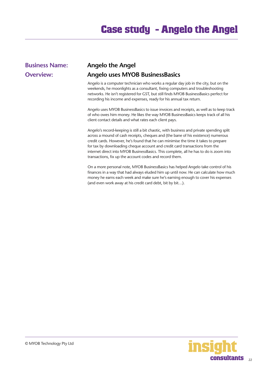# <span id="page-21-0"></span>**Business Name: Angelo the Angel Overview: Angelo uses MYOB BusinessBasics**

Angelo is a computer technician who works a regular day job in the city, but on the weekends, he moonlights as a consultant, fixing computers and troubleshooting networks. He isn't registered for GST, but still finds MYOB BusinessBasics perfect for recording his income and expenses, ready for his annual tax return.

Angelo uses MYOB BusinessBasics to issue invoices and receipts, as well as to keep track of who owes him money. He likes the way MYOB BusinessBasics keeps track of all his client contact details and what rates each client pays.

Angelo's record-keeping is still a bit chaotic, with business and private spending split across a mound of cash receipts, cheques and (the bane of his existence) numerous credit cards. However, he's found that he can minimise the time it takes to prepare for tax by downloading cheque account and credit card transactions from the internet direct into MYOB BusinessBasics. This complete, all he has to do is zoom into transactions, fix up the account codes and record them.

On a more personal note, MYOB BusinessBasics has helped Angelo take control of his finances in a way that had always eluded him up until now. He can calculate how much money he earns each week and make sure he's earning enough to cover his expenses (and even work away at his credit card debt, bit by bit…).



22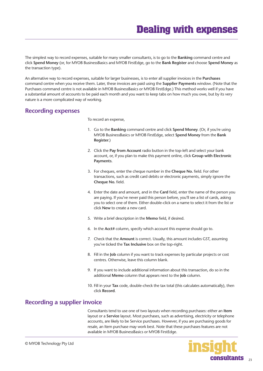<span id="page-22-0"></span>The simplest way to record expenses, suitable for many smaller consultants, is to go to the **Banking** command centre and click **Spend Money** (or, for MYOB BusinessBasics and MYOB FirstEdge, go to the **Bank Register** and choose **Spend Money** as the transaction type).

An alternative way to record expenses, suitable for larger businesses, is to enter all supplier invoices in the **Purchases** command centre when you receive them. Later, these invoices are paid using the **Supplier Payments** window. (Note that the Purchases command centre is not available in MYOB BusinessBasics or MYOB FirstEdge.) This method works well if you have a substantial amount of accounts to be paid each month and you want to keep tabs on how much you owe, but by its very nature is a more complicated way of working.

#### **Recording expenses**

To record an expense,

- 1. Go to the **Banking** command centre and click **Spend Money**. (Or, if you're using MYOB BusinessBasics or MYOB FirstEdge, select **Spend Money** from the **Bank Register**.)
- 2. Click the **Pay from Account** radio button in the top-left and select your bank account, or, if you plan to make this payment online, click **Group with Electronic Payments**.
- 3. For cheques, enter the cheque number in the **Cheque No.** field. For other transactions, such as credit card debits or electronic payments, simply ignore the **Cheque No.** field.
- 4. Enter the date and amount, and in the **Card** field, enter the name of the person you are paying. If you've never paid this person before, you'll see a list of cards, asking you to select one of them. Either double-click on a name to select it from the list or click **New** to create a new card.
- 5. Write a brief description in the **Memo** field, if desired.
- 6. In the **Acct#** column, specify which account this expense should go to.
- 7. Check that the **Amount** is correct. Usually, this amount includes GST, assuming you've ticked the **Tax Inclusive** box on the top-right.
- 8. Fill in the **Job** column if you want to track expenses by particular projects or cost centres. Otherwise, leave this column blank.
- 9. If you want to include additional information about this transaction, do so in the additional **Memo** column that appears next to the **Job** column.
- 10. Fill in your **Tax** code, double-check the tax total (this calculates automatically), then click **Record**.

### **Recording a supplier invoice**

Consultants tend to use one of two layouts when recording purchases: either an **Item** layout or a **Service** layout. Most purchases, such as advertising, electricity or telephone accounts, are likely to be Service purchases. However, if you are purchasing goods for resale, an Item purchase may work best. Note that these purchases features are not available in MYOB BusinessBasics or MYOB FirstEdge.

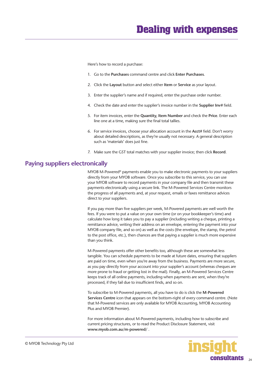<span id="page-23-0"></span>Here's how to record a purchase:

- 1. Go to the **Purchases** command centre and click **Enter Purchases**.
- 2. Click the **Layout** button and select either **Item** or **Service** as your layout.
- 3. Enter the supplier's name and if required, enter the purchase order number.
- 4. Check the date and enter the supplier's invoice number in the **Supplier Inv#** field.
- 5. For item invoices, enter the **Quantity, Item Number** and check the **Price**. Enter each line one at a time, making sure the final total tallies.
- 6. For service invoices, choose your allocation account in the **Acct#** field. Don't worry about detailed descriptions, as they're usually not necessary. A general description such as 'materials' does just fine.
- 7. Make sure the GST total matches with your supplier invoice; then click **Record**.

#### **Paying suppliers electronically**

MYOB M-Powered® payments enable you to make electronic payments to your suppliers directly from your MYOB software. Once you subscribe to this service, you can use your MYOB software to record payments in your company file and then transmit these payments electronically using a secure link. The M-Powered Services Centre monitors the progress of all payments and, at your request, emails or faxes remittance advices direct to your suppliers.

If you pay more than five suppliers per week, M-Powered payments are well worth the fees. If you were to put a value on your own time (or on your bookkeeper's time) and calculate how long it takes you to pay a supplier (including writing a cheque, printing a remittance advice, writing their address on an envelope, entering the payment into your MYOB company file, and so on) as well as the costs (the envelope, the stamp, the petrol to the post office, etc.), then chances are that paying a supplier is much more expensive than you think.

M-Powered payments offer other benefits too, although these are somewhat less tangible. You can schedule payments to be made at future dates, ensuring that suppliers are paid on time, even when you're away from the business. Payments are more secure, as you pay directly from your account into your supplier's account (whereas cheques are more prone to fraud or getting lost in the mail). Finally, an M-Powered Services Centre keeps track of all online payments, including when payments are sent, when they're processed, if they fail due to insufficient finds, and so on.

To subscribe to M-Powered payments, all you have to do is click the **M-Powered Services Centre** icon that appears on the bottom-right of every command centre. (Note that M-Powered services are only available for MYOB Accounting, MYOB Accounting Plus and MYOB Premier).

For more information about M-Powered payments, including how to subscribe and current pricing structures, or to read the Product Disclosure Statement, visit **www.myob.com.au/m-powered/** .

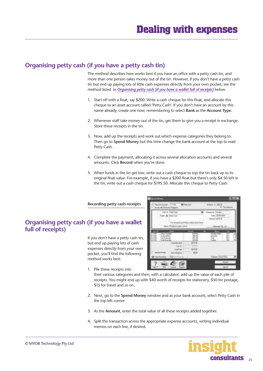## <span id="page-24-0"></span>**Organising petty cash (if you have a petty cash tin)**

The method describes here works best if you have an office with a petty cash tin, and more than one person takes money out of the tin. However, if you don't have a petty cash tin but end up paying lots of little cash expenses directly from your own pocket, see the method listed in *Organising petty cash (if you have a wallet full of receipts)* below.

- 1. Start off with a float, say \$200. Write a cash cheque for this float, and allocate this cheque to an asset account called 'Petty Cash'. If you don't have an account by this name already, create one now, remembering to select **Bank** as the **Account Type**.
- 2. Whenever staff take money out of the tin, get them to give you a receipt in exchange. Store these receipts in the tin.
- 3. Now, add up the receipts and work out which expense categories they belong to. Then go to **Spend Money** but this time change the bank account at the top to read Petty Cash.
- 4. Complete the payment, allocating it across several allocation accounts and several amounts. Click **Record** when you're done.
- 5. When funds in the tin get low, write out a cash cheque to top the tin back up to its original float value. For example, if you have a \$200 float but there's only \$4.50 left in the tin, write out a cash cheque for \$195.50. Allocate this cheque to Petty Cash.

#### **Recording petty cash receipts**

#### **Organising petty cash (if you have a wallet full of receipts)**

If you don't have a petty cash tin, but end up paying lots of cash expenses directly from your own pocket, you'll find the following method works best.

1. Pile these receipts into

their various categories and then, with a calculator, add up the value of each pile of receipts. You might end up with \$40 worth of receipts for stationery, \$50 for postage, \$15 for travel and so on.

- 2. Next, go to the **Spend Money** window and as your bank account, select Petty Cash in the top left corner.
- 3. As the **Amount**, enter the total value of all these receipts added together.
- 4. Split the transaction across the appropriate expense accounts, writing individual memos on each line, if desired.



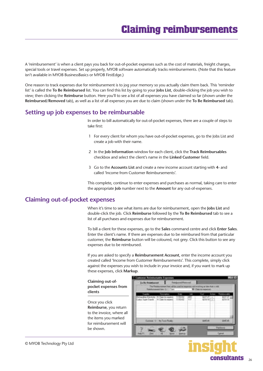<span id="page-25-0"></span>A 'reimbursement' is when a client pays you back for out-of-pocket expenses such as the cost of materials, freight charges, special tools or travel expenses. Set up properly, MYOB software automatically tracks reimbursements. (Note that this feature isn't available in MYOB BusinessBasics or MYOB FirstEdge.)

One reason to track expenses due for reimbursement is to jog your memory so you actually claim them back. This 'reminder list' is called the **To Be Reimbursed** list. You can find this list by going to your **Jobs List**, double-clicking the job you wish to view; then clicking the **Reimburse** button. Here you'll to see a list of all expenses you have claimed so far (shown under the **Reimbursed/Removed** tab), as well as a list of all expenses you are due to claim (shown under the **To Be Reimbursed** tab).

## **Setting up job expenses to be reimbursable**

In order to bill automatically for out-of-pocket expenses, there are a couple of steps to take first:

- 1 For every client for whom you have out-of-pocket expenses, go to the Jobs List and create a job with their name.
- 2 In the **Job Information** window for each client, click the **Track Reimbursables** checkbox and select the client's name in the **Linked Customer** field.
- 3 Go to the **Accounts List** and create a new income account starting with **4-** and called 'Income from Customer Reimbursements'.

This complete, continue to enter expenses and purchases as normal, taking care to enter the appropriate **Job** number next to the **Amount** for any out-of-expenses.

### **Claiming out-of-pocket expenses**

When it's time to see what items are due for reimbursement, open the **Jobs List** and double-click the job. Click **Reimburse** followed by the **To Be Reimbursed** tab to see a list of all purchases and expenses due for reimbursement.

To bill a client for these expenses, go to the **Sales** command centre and click **Enter Sales**. Enter the client's name. If there are expenses due to be reimbursed from that particular customer, the **Reimburse** button will be coloured, not grey. Click this button to see any expenses due to be reimbursed.

If you are asked to specify a **Reimbursement Account**, enter the income account you created called 'Income from Customer Reimbursements'. This complete, simply click against the expenses you wish to include in your invoice and, if you want to mark up these expenses, click **Markup**.



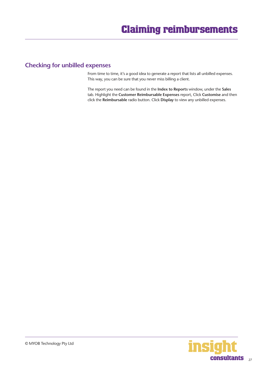### <span id="page-26-0"></span>**Checking for unbilled expenses**

From time to time, it's a good idea to generate a report that lists all unbilled expenses. This way, you can be sure that you never miss billing a client.

The report you need can be found in the **Index to Reports** window, under the **Sales** tab. Highlight the **Customer Reimbursable Expenses** report, Click **Customise** and then click the **Reimbursable** radio button. Click **Display** to view any unbilled expenses.

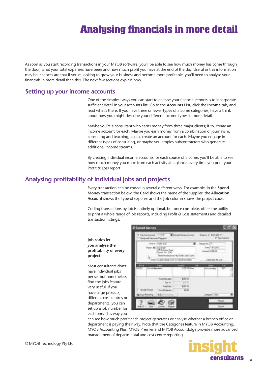<span id="page-27-0"></span>As soon as you start recording transactions in your MYOB software, you'll be able to see how much money has come through the door, what your total expenses have been and how much profit you have at the end of the day. Useful as this information may be, chances are that if you're looking to grow your business and become more profitable, you'll need to analyse your financials in more detail than this. The next few sections explain how.

#### **Setting up your income accounts**

One of the simplest ways you can start to analyse your financial reports is to incorporate sufficient detail in your accounts list. Go to the **Accounts List**, click the **Income** tab, and read what's there. If you have three or fewer types of income categories, have a think about how you might describe your different income types in more detail.

Maybe you're a consultant who earns money from three major clients; if so, create an income account for each. Maybe you earn money from a combination of journalism, consulting and teaching; again, create an account for each. Maybe you engage in different types of consulting, or maybe you employ subcontractors who generate additional income streams.

By creating individual income accounts for each source of income, you'll be able to see how much money you make from each activity at a glance, every time you print your Profit & Loss report.

### **Analysing profitability of individual jobs and projects**

Every transaction can be coded in several different ways. For example, in the **Spend Money** transaction below, the **Card** shows the name of the supplier; the **Allocation Account** shows the type of expense and the **Job** column shows the project code.

Coding transactions by job is entirely optional, but once complete, offers the ability to print a whole range of job reports, including Profit & Loss statements and detailed transaction listings.

**Job codes let you analyse the profitability of every project**

Most consultants don't have individual jobs per se, but nonetheless find the jobs feature very useful. If you have large projects, different cost centres or departments, you can set up a job number for each one. This way you

| <b>Kaynon Avenue 191919</b><br><b>Glass with Electronic Passage</b>                                        | <b>Billiard Stewart</b>                      | Salemne (2) \$107,427.17                                         | <b>U.S. La Indules</b> |
|------------------------------------------------------------------------------------------------------------|----------------------------------------------|------------------------------------------------------------------|------------------------|
| Catil: low-La<br>and Mill Star Switz<br>25 Retox Road<br>Toura, ML 3742<br>Report Light Angree in chairman | These Humbled and Filip Bullack world Elekt. | Departure [7]<br>Two [100VARE]<br>met 175.00<br>Dunneed Par Ltd. |                        |
| <b>And B</b><br>etting .<br>بفقا ان                                                                        | 2.7% Si Have                                 | Full to arrive                                                   | z.<br>107.7            |
| <b>Taxibused</b><br><b>Lauritius</b><br>at of Kilgarena<br><b>DE Teat Factoring BELLICE</b>                | <b>VISITE</b><br>\$1591197<br>ica:           | Deepier Tardo                                                    |                        |

can see how much profit each project generates or analyse whether a branch office or department is paying their way. Note that the Categories feature in MYOB Accounting, MYOB Accounting Plus, MYOB Premier and MYOB AccountEdge provide more advanced management of departmental and cost centre reporting.

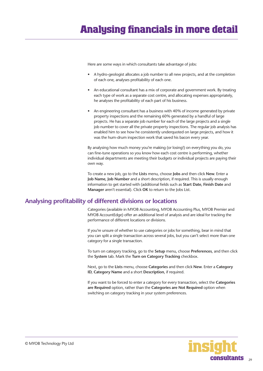<span id="page-28-0"></span>Here are some ways in which consultants take advantage of jobs:

- A hydro-geologist allocates a job number to all new projects, and at the completion of each one, analyses profitability of each one.
- An educational consultant has a mix of corporate and government work. By treating each type of work as a separate cost centre, and allocating expenses appropriately, he analyses the profitability of each part of his business.
- An engineering consultant has a business with 40% of income generated by private property inspections and the remaining 60% generated by a handful of large projects. He has a separate job number for each of the large projects and a single job number to cover all the private property inspections. The regular job analysis has enabled him to see how he consistently underquoted on large projects, and how it was the hum-drum inspection work that saved his bacon every year.

By analysing how much money you're making (or losing!) on everything you do, you can fine-tune operations so you know how each cost centre is performing, whether individual departments are meeting their budgets or individual projects are paying their own way.

To create a new job, go to the **Lists** menu, choose **Jobs** and then click **New**. Enter a **Job Name, Job Number** and a short description, if required. This is usually enough information to get started with (additional fields such as **Start Date, Finish Date** and **Manager** aren't essential). Click **OK** to return to the Jobs List.

## **Analysing profitability of different divisions or locations**

Categories (available in MYOB Accounting, MYOB Accounting Plus, MYOB Premier and MYOB AccountEdge) offer an additional level of analysis and are ideal for tracking the performance of different locations or divisions.

If you're unsure of whether to use categories or jobs for something, bear in mind that you can split a single transaction across several jobs, but you can't select more than one category for a single transaction.

To turn on category tracking, go to the **Setup** menu, choose **Preferences**, and then click the **System** tab. Mark the **Turn on Category Tracking** checkbox.

Next, go to the **Lists** menu, choose **Categories** and then click **New**. Enter a **Category ID**, **Category Name** and a short **Description**, if required.

If you want to be forced to enter a category for every transaction, select the **Categories are Required** option, rather than the **Categories are Not Required** option when switching on category tracking in your system preferences.

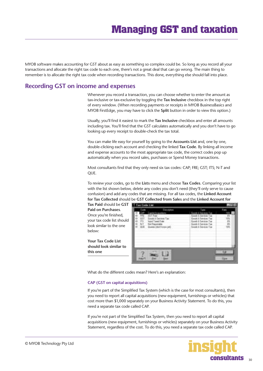<span id="page-29-0"></span>MYOB software makes accounting for GST about as easy as something so complex could be. So long as you record all your transactions and allocate the right tax code to each one, there's not a great deal that can go wrong. The main thing to remember is to allocate the right tax code when recording transactions. This done, everything else should fall into place.

#### **Recording GST on income and expenses**

Whenever you record a transaction, you can choose whether to enter the amount as tax-inclusive or tax-exclusive by toggling the **Tax Inclusive** checkbox in the top right of every window. (When recording payments or receipts in MYOB BusinessBasics and MYOB FirstEdge, you may have to click the **Split** button in order to view this option.)

Usually, you'll find it easiest to mark the **Tax Inclusive** checkbox and enter all amounts including tax. You'll find that the GST calculates automatically and you don't have to go looking up every receipt to double-check the tax total.

You can make life easy for yourself by going to the **Accounts List** and, one by one, double-clicking each account and checking the linked **Tax Code**. By linking all income and expense accounts to the most appropriate tax code, the correct codes pop up automatically when you record sales, purchases or Spend Money transactions.

Most consultants find that they only need six tax codes: CAP; FRE; GST; ITS; N-T and QUE.

To review your codes, go to the **Lists** menu and choose **Tax Codes**. Comparing your list with the list shown below, delete any codes you don't need (they'll only serve to cause confusion) and add any codes that are missing. For all tax codes, the **Linked Account for Tax Collected** should be **GST Collected from Sales** and the **Linked Account for** 

**Tax Paid** should be **GST Paid on Purchases**. Once you're finished, your tax code list should look similar to the one below:

**Your Tax Code List should look similar to this one**



What do the different codes mean? Here's an explanation:

#### **CAP (GST on capital acquisitions)**

If you're part of the Simplified Tax System (which is the case for most consultants), then you need to report all capital acquisitions (new equipment, furnishings or vehicles) that cost more than \$1,000 separately on your Business Activity Statement. To do this, you need a separate tax code called CAP.

If you're not part of the Simplified Tax System, then you need to report all capital acquisitions (new equipment, furnishings or vehicles) separately on your Business Activity Statement, regardless of the cost. To do this, you need a separate tax code called CAP.

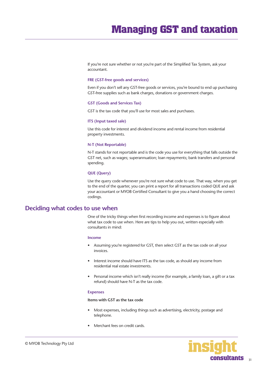# **Managing GST and taxation**

<span id="page-30-0"></span>If you're not sure whether or not you're part of the Simplified Tax System, ask your accountant.

#### **FRE (GST-free goods and services)**

Even if you don't sell any GST-free goods or services, you're bound to end up purchasing GST-free supplies such as bank charges, donations or government charges.

#### **GST (Goods and Services Tax)**

GST is the tax code that you'll use for most sales and purchases.

#### **ITS (Input taxed sale)**

Use this code for interest and dividend income and rental income from residential property investments.

#### **N-T (Not Reportable)**

N-T stands for not reportable and is the code you use for everything that falls outside the GST net, such as wages; superannuation; loan repayments; bank transfers and personal spending.

#### **QUE (Query)**

Use the query code whenever you're not sure what code to use. That way, when you get to the end of the quarter, you can print a report for all transactions coded QUE and ask your accountant or MYOB Certified Consultant to give you a hand choosing the correct codings.

#### **Deciding what codes to use when**

One of the tricky things when first recording income and expenses is to figure about what tax code to use when. Here are tips to help you out, written especially with consultants in mind:

#### **Income**

- Assuming you're registered for GST, then select GST as the tax code on all your invoices.
- Interest income should have ITS as the tax code, as should any income from residential real estate investments.
- Personal income which isn't really income (for example, a family loan, a gift or a tax refund) should have N-T as the tax code.

#### **Expenses**

**Items with GST as the tax code**

- Most expenses, including things such as advertising, electricity, postage and telephone.
- Merchant fees on credit cards.

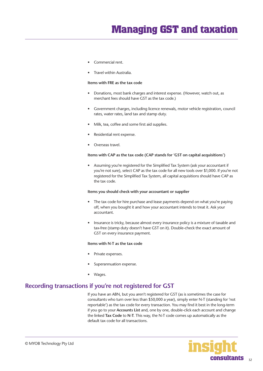- <span id="page-31-0"></span>• Commercial rent.
- Travel within Australia.

#### **Items with FRE as the tax code**

- Donations, most bank charges and interest expense. (However, watch out, as merchant fees should have GST as the tax code.)
- Government charges, including licence renewals, motor vehicle registration, council rates, water rates, land tax and stamp duty.
- Milk, tea, coffee and some first aid supplies.
- Residential rent expense.
- Overseas travel.

#### **Items with CAP as the tax code (CAP stands for 'GST on capital acquisitions')**

• Assuming you're registered for the Simplified Tax System (ask your accountant if you're not sure), select CAP as the tax code for all new tools over \$1,000. If you're not registered for the Simplified Tax System, all capital acquisitions should have CAP as the tax code.

#### **Items you should check with your accountant or supplier**

- The tax code for hire purchase and lease payments depend on what you're paying off, when you bought it and how your accountant intends to treat it. Ask your accountant.
- Insurance is tricky, because almost every insurance policy is a mixture of taxable and tax-free (stamp duty doesn't have GST on it). Double-check the exact amount of GST on every insurance payment.

#### **Items with N-T as the tax code**

- Private expenses.
- Superannuation expense.
- Wages.

## **Recording transactions if you're not registered for GST**

If you have an ABN, but you aren't registered for GST (as is sometimes the case for consultants who turn over less than \$50,000 a year), simply enter N-T (standing for 'not reportable') as the tax code for every transaction. You may find it best in the long-term if you go to your **Accounts List** and, one by one, double-click each account and change the linked **Tax Code** to **N-T**. This way, the N-T code comes up automatically as the default tax code for all transactions.